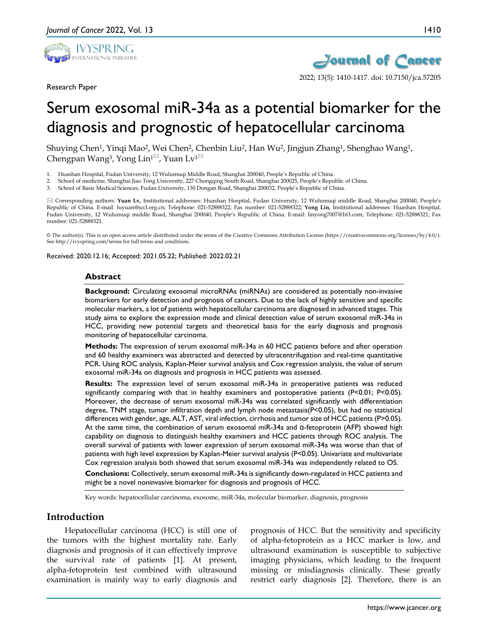

Research Paper





2022; 13(5): 1410-1417. doi: 10.7150/jca.57205

# Serum exosomal miR-34a as a potential biomarker for the diagnosis and prognostic of hepatocellular carcinoma

Shuying Chen1, Yinqi Mao2, Wei Chen2, Chenbin Liu2, Han Wu2, Jingjun Zhang1, Shenghao Wang1, Chengpan Wang<sup>3</sup>, Yong Lin<sup>1 $\boxtimes$ </sup>, Yuan Lv<sup>1 $\boxtimes$ </sup>

- 1. Huashan Hospital, Fudan University, 12 Wulumuqi Middle Road, Shanghai 200040, People's Republic of China.
- 2. School of medicine, Shanghai Jiao Tong University, 227 Chongqing South Road, Shanghai 200025, People's Republic of China.
- 3. School of Basic Medical Sciences, Fudan University, 130 Dongan Road, Shanghai 200032, People's Republic of China.

 Corresponding authors: **Yuan Lv,** Institutional addresses: Huashan Hospital, Fudan University, 12 Wulumuqi middle Road, Shanghai 200040, People's Republic of China. E-mail: luyuan@sccl.org.cn; Telephone: 021-52888322; Fax number: 021-52888322; **Yong Lin,** Institutional addresses: Huashan Hospital, Fudan University, 12 Wulumuqi middle Road, Shanghai 200040, People's Republic of China. E-mail: linyong7007@163.com; Telephone: 021-52888321; Fax number: 021-52888321.

© The author(s). This is an open access article distributed under the terms of the Creative Commons Attribution License (https://creativecommons.org/licenses/by/4.0/). See http://ivyspring.com/terms for full terms and conditions.

Received: 2020.12.16; Accepted: 2021.05.22; Published: 2022.02.21

#### **Abstract**

**Background:** Circulating exosomal microRNAs (miRNAs) are considered as potentially non-invasive biomarkers for early detection and prognosis of cancers. Due to the lack of highly sensitive and specific molecular markers, a lot of patients with hepatocellular carcinoma are diagnosed in advanced stages. This study aims to explore the expression mode and clinical detection value of serum exosomal miR-34a in HCC, providing new potential targets and theoretical basis for the early diagnosis and prognosis monitoring of hepatocellular carcinoma.

**Methods:** The expression of serum exosomal miR-34a in 60 HCC patients before and after operation and 60 healthy examiners was abstracted and detected by ultracentrifugation and real-time quantitative PCR. Using ROC analysis, Kaplan-Meier survival analysis and Cox regression analysis, the value of serum exosomal miR-34a on diagnosis and prognosis in HCC patients was assessed.

**Results:** The expression level of serum exosomal miR-34a in preoperative patients was reduced significantly comparing with that in healthy examiners and postoperative patients (P<0.01; P<0.05). Moreover, the decrease of serum exosomal miR-34a was correlated significantly with differentiation degree, TNM stage, tumor infiltration depth and lymph node metastasis(P<0.05), but had no statistical differences with gender, age, ALT, AST, viral infection, cirrhosis and tumor size of HCC patients (P>0.05). At the same time, the combination of serum exosomal miR-34a and α-fetoprotein (AFP) showed high capability on diagnosis to distinguish healthy examiners and HCC patients through ROC analysis. The overall survival of patients with lower expression of serum exosomal miR-34a was worse than that of patients with high level expression by Kaplan-Meier survival analysis (P<0.05). Univariate and multivariate Cox regression analysis both showed that serum exosomal miR-34a was independently related to OS.

**Conclusions:** Collectively, serum exosomal miR-34a is significantly down-regulated in HCC patients and might be a novel noninvasive biomarker for diagnosis and prognosis of HCC.

Key words: hepatocellular carcinoma, exosome, miR-34a, molecular biomarker, diagnosis, prognosis

## **Introduction**

Hepatocellular carcinoma (HCC) is still one of the tumors with the highest mortality rate. Early diagnosis and prognosis of it can effectively improve the survival rate of patients [1]. At present, alpha-fetoprotein test combined with ultrasound examination is mainly way to early diagnosis and

prognosis of HCC. But the sensitivity and specificity of alpha-fetoprotein as a HCC marker is low, and ultrasound examination is susceptible to subjective imaging physicians, which leading to the frequent missing or misdiagnosis clinically. These greatly restrict early diagnosis [2]. Therefore, there is an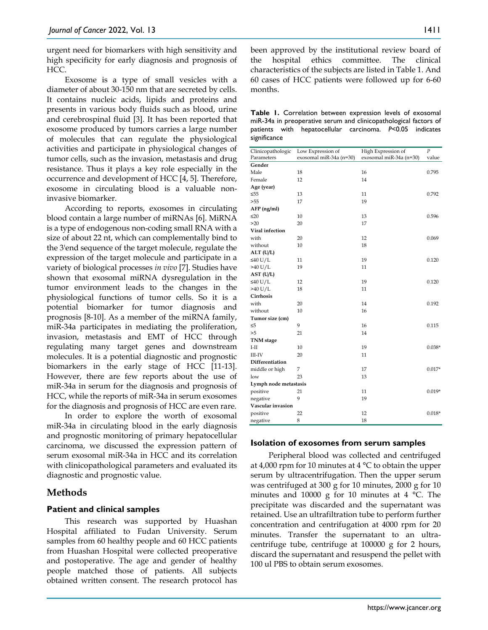urgent need for biomarkers with high sensitivity and high specificity for early diagnosis and prognosis of HCC.

Exosome is a type of small vesicles with a diameter of about 30-150 nm that are secreted by cells. It contains nucleic acids, lipids and proteins and presents in various body fluids such as blood, urine and cerebrospinal fluid [3]. It has been reported that exosome produced by tumors carries a large number of molecules that can regulate the physiological activities and participate in physiological changes of tumor cells, such as the invasion, metastasis and drug resistance. Thus it plays a key role especially in the occurrence and development of HCC [4, 5]. Therefore, exosome in circulating blood is a valuable noninvasive biomarker.

According to reports, exosomes in circulating blood contain a large number of miRNAs [6]. MiRNA is a type of endogenous non-coding small RNA with a size of about 22 nt, which can complementally bind to the 3'end sequence of the target molecule, regulate the expression of the target molecule and participate in a variety of biological processes *in vivo* [7]. Studies have shown that exosomal miRNA dysregulation in the tumor environment leads to the changes in the physiological functions of tumor cells. So it is a potential biomarker for tumor diagnosis and prognosis [8-10]. As a member of the miRNA family, miR-34a participates in mediating the proliferation, invasion, metastasis and EMT of HCC through regulating many target genes and downstream molecules. It is a potential diagnostic and prognostic biomarkers in the early stage of HCC [11-13]. However, there are few reports about the use of miR-34a in serum for the diagnosis and prognosis of HCC, while the reports of miR-34a in serum exosomes for the diagnosis and prognosis of HCC are even rare.

In order to explore the worth of exosomal miR-34a in circulating blood in the early diagnosis and prognostic monitoring of primary hepatocellular carcinoma, we discussed the expression pattern of serum exosomal miR-34a in HCC and its correlation with clinicopathological parameters and evaluated its diagnostic and prognostic value.

# **Methods**

## **Patient and clinical samples**

This research was supported by Huashan Hospital affiliated to Fudan University. Serum samples from 60 healthy people and 60 HCC patients from Huashan Hospital were collected preoperative and postoperative. The age and gender of healthy people matched those of patients. All subjects obtained written consent. The research protocol has

been approved by the institutional review board of the hospital ethics committee. The clinical characteristics of the subjects are listed in Table 1. And 60 cases of HCC patients were followed up for 6-60 months.

**Table 1.** Correlation between expression levels of exosomal miR-34a in preoperative serum and clinicopathological factors of patients with hepatocellular carcinoma. *P*<0.05 indicates significance

|                                 |                                              |                                               | $\overline{P}$ |
|---------------------------------|----------------------------------------------|-----------------------------------------------|----------------|
| Clinicopathologic<br>Parameters | Low Expression of<br>exosomal miR-34a (n=30) | High Expression of<br>exosomal miR-34a (n=30) | value          |
| Gender                          |                                              |                                               |                |
| Male                            | 18                                           | 16                                            | 0.795          |
| Female                          | 12                                           | 14                                            |                |
|                                 |                                              |                                               |                |
| Age (year)                      |                                              |                                               |                |
| $\leq 55$<br>>55                | 13<br>17                                     | 11<br>19                                      | 0.792          |
|                                 |                                              |                                               |                |
| AFP (ng/ml)                     |                                              |                                               |                |
| $\leq 20$                       | 10                                           | 13                                            | 0.596          |
| >20                             | 20                                           | 17                                            |                |
| Viral infection                 |                                              |                                               |                |
| with                            | 20                                           | 12                                            | 0.069          |
| without                         | 10                                           | 18                                            |                |
| ALT (U/L)                       |                                              |                                               |                |
| ≤40 U/L                         | 11                                           | 19                                            | 0.120          |
| $>40$ U/L                       | 19                                           | 11                                            |                |
| AST (U/L)                       |                                              |                                               |                |
| ≤40 U/L                         | 12                                           | 19                                            | 0.120          |
| $>40$ U/L                       | 18                                           | 11                                            |                |
| Cirrhosis                       |                                              |                                               |                |
| with                            | 20                                           | 14                                            | 0.192          |
| without                         | 10                                           | 16                                            |                |
| Tumor size (cm)                 |                                              |                                               |                |
| $\leq 5$                        | 9                                            | 16                                            | 0.115          |
| >5                              | 21                                           | 14                                            |                |
| <b>TNM</b> stage                |                                              |                                               |                |
| I-II                            | 10                                           | 19                                            | $0.038*$       |
| III-IV                          | 20                                           | 11                                            |                |
| Differentiation                 |                                              |                                               |                |
| middle or high                  | 7                                            | 17                                            | $0.017*$       |
| low                             | 23                                           | 13                                            |                |
| Lymph node metastasis           |                                              |                                               |                |
| positive                        | 21                                           | 11                                            | $0.019*$       |
| negative                        | 9                                            | 19                                            |                |
| Vascular invasion               |                                              |                                               |                |
| positive                        | 22                                           | 12                                            | $0.018*$       |
| negative                        | 8                                            | 18                                            |                |

#### **Isolation of exosomes from serum samples**

Peripheral blood was collected and centrifuged at 4,000 rpm for 10 minutes at 4 °C to obtain the upper serum by ultracentrifugation. Then the upper serum was centrifuged at 300 g for 10 minutes, 2000 g for 10 minutes and 10000 g for 10 minutes at 4 °C. The precipitate was discarded and the supernatant was retained. Use an ultrafiltration tube to perform further concentration and centrifugation at 4000 rpm for 20 minutes. Transfer the supernatant to an ultracentrifuge tube, centrifuge at 100000 g for 2 hours, discard the supernatant and resuspend the pellet with 100 ul PBS to obtain serum exosomes.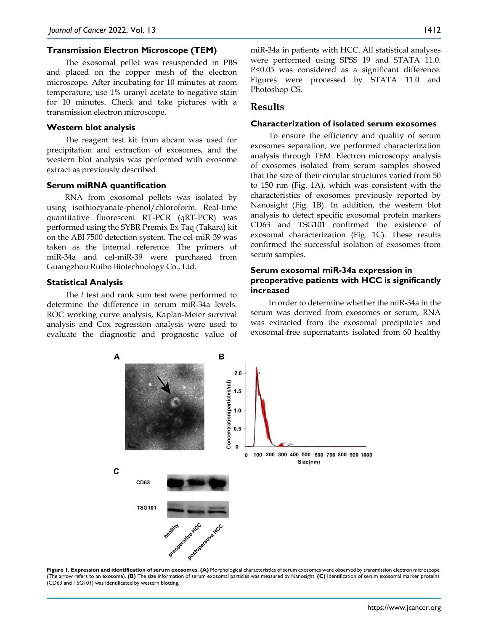#### **Transmission Electron Microscope (TEM)**

The exosomal pellet was resuspended in PBS and placed on the copper mesh of the electron microscope. After incubating for 10 minutes at room temperature, use 1% uranyl acetate to negative stain for 10 minutes. Check and take pictures with a transmission electron microscope.

#### **Western blot analysis**

The reagent test kit from abcam was used for precipitation and extraction of exosomes, and the western blot analysis was performed with exosome extract as previously described.

#### **Serum miRNA quantification**

RNA from exosomal pellets was isolated by using isothiocyanate-phenol/chloroform. Real-time quantitative fluorescent RT-PCR (qRT-PCR) was performed using the SYBR Premix Ex Taq (Takara) kit on the ABI 7500 detection system. The cel-miR-39 was taken as the internal reference. The primers of miR-34a and cel-miR-39 were purchased from Guangzhou Ruibo Biotechnology Co., Ltd.

#### **Statistical Analysis**

The *t* test and rank sum test were performed to determine the difference in serum miR-34a levels. ROC working curve analysis, Kaplan-Meier survival analysis and Cox regression analysis were used to evaluate the diagnostic and prognostic value of miR-34a in patients with HCC. All statistical analyses were performed using SPSS 19 and STATA 11.0. P<0.05 was considered as a significant difference. Figures were processed by STATA 11.0 and Photoshop CS.

#### **Results**

#### **Characterization of isolated serum exosomes**

To ensure the efficiency and quality of serum exosomes separation, we performed characterization analysis through TEM. Electron microscopy analysis of exosomes isolated from serum samples showed that the size of their circular structures varied from 50 to 150 nm (Fig. 1A), which was consistent with the characteristics of exosomes previously reported by Nanosight (Fig. 1B). In addition, the western blot analysis to detect specific exosomal protein markers CD63 and TSG101 confirmed the existence of exosomal characterization (Fig. 1C). These results confirmed the successful isolation of exosomes from serum samples.

#### **Serum exosomal miR-34a expression in preoperative patients with HCC is significantly increased**

In order to determine whether the miR-34a in the serum was derived from exosomes or serum, RNA was extracted from the exosomal precipitates and exosomal-free supernatants isolated from 60 healthy



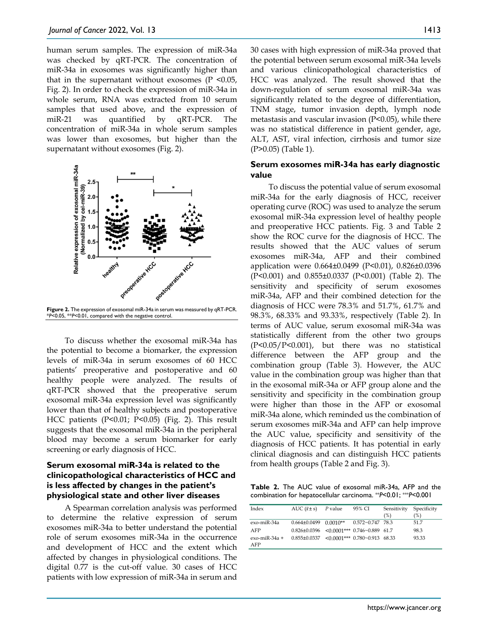human serum samples. The expression of miR-34a was checked by qRT-PCR. The concentration of miR-34a in exosomes was significantly higher than that in the supernatant without exosomes  $(P \le 0.05,$ Fig. 2). In order to check the expression of miR-34a in whole serum, RNA was extracted from 10 serum samples that used above, and the expression of miR-21 was quantified by qRT-PCR. The concentration of miR-34a in whole serum samples was lower than exosomes, but higher than the supernatant without exosomes (Fig. 2).



**Figure 2.** The expression of exosomal miR-34a in serum was measured by qRT-PCR. \**P*<0.05, \*\**P*<0.01, compared with the negative control.

To discuss whether the exosomal miR-34a has the potential to become a biomarker, the expression levels of miR-34a in serum exosomes of 60 HCC patients' preoperative and postoperative and 60 healthy people were analyzed. The results of qRT-PCR showed that the preoperative serum exosomal miR-34a expression level was significantly lower than that of healthy subjects and postoperative HCC patients (P<0.01; P<0.05) (Fig. 2). This result suggests that the exosomal miR-34a in the peripheral blood may become a serum biomarker for early screening or early diagnosis of HCC.

## **Serum exosomal miR-34a is related to the clinicopathological characteristics of HCC and is less affected by changes in the patient's physiological state and other liver diseases**

A Spearman correlation analysis was performed to determine the relative expression of serum exosomes miR-34a to better understand the potential role of serum exosomes miR-34a in the occurrence and development of HCC and the extent which affected by changes in physiological conditions. The digital 0.77 is the cut-off value. 30 cases of HCC patients with low expression of miR-34a in serum and

30 cases with high expression of miR-34a proved that the potential between serum exosomal miR-34a levels and various clinicopathological characteristics of HCC was analyzed. The result showed that the down-regulation of serum exosomal miR-34a was significantly related to the degree of differentiation, TNM stage, tumor invasion depth, lymph node metastasis and vascular invasion (P<0.05), while there was no statistical difference in patient gender, age, ALT, AST, viral infection, cirrhosis and tumor size (P>0.05) (Table 1).

#### **Serum exosomes miR-34a has early diagnostic value**

To discuss the potential value of serum exosomal miR-34a for the early diagnosis of HCC, receiver operating curve (ROC) was used to analyze the serum exosomal miR-34a expression level of healthy people and preoperative HCC patients. Fig. 3 and Table 2 show the ROC curve for the diagnosis of HCC. The results showed that the AUC values of serum exosomes miR-34a, AFP and their combined application were 0.664±0.0499 (P<0.01), 0.826±0.0396 (P<0.001) and 0.855±0.0337 (P<0.001) (Table 2). The sensitivity and specificity of serum exosomes miR-34a, AFP and their combined detection for the diagnosis of HCC were 78.3% and 51.7%, 61.7% and 98.3%, 68.33% and 93.33%, respectively (Table 2). In terms of AUC value, serum exosomal miR-34a was statistically different from the other two groups (P<0.05/P<0.001), but there was no statistical difference between the AFP group and the combination group (Table 3). However, the AUC value in the combination group was higher than that in the exosomal miR-34a or AFP group alone and the sensitivity and specificity in the combination group were higher than those in the AFP or exosomal miR-34a alone, which reminded us the combination of serum exosomes miR-34a and AFP can help improve the AUC value, specificity and sensitivity of the diagnosis of HCC patients. It has potential in early clinical diagnosis and can distinguish HCC patients from health groups (Table 2 and Fig. 3).

**Table 2.** The AUC value of exosomal miR-34a, AFP and the combination for hepatocellular carcinoma. \*\**P*<0.01; \*\*\**P*<0.001

| Index                  | AUC $(\bar{x} \pm s)$                               | P value    | 95% CI                  | Sensitivity<br>(%) | Specificity<br>(%) |
|------------------------|-----------------------------------------------------|------------|-------------------------|--------------------|--------------------|
| exo-miR-34a            | $0.664 \pm 0.0499$                                  | $0.0010**$ | $0.572 \sim 0.747$ 78.3 |                    | 51.7               |
| AFP                    | $0.826\pm0.0396$ < 0.0001*** 0.746~0.889 61.7       |            |                         |                    | 98.3               |
| $exo-miR-34a +$<br>AFP | $0.855\pm0.0337$ < 0.0001*** $0.780\sim0.913$ 68.33 |            |                         |                    | 93.33              |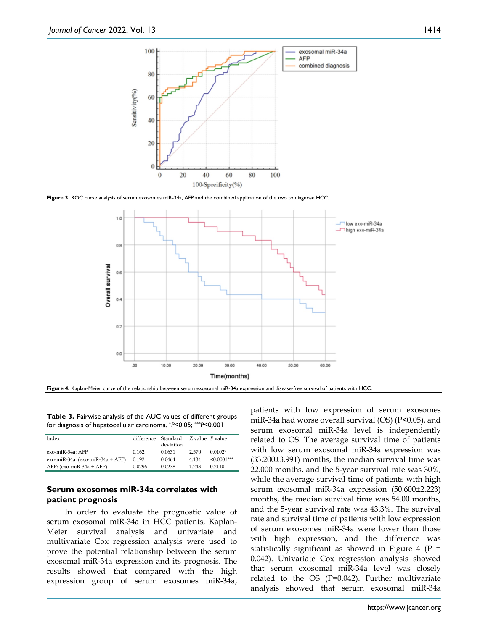

**Figure 3.** ROC curve analysis of serum exosomes miR-34a, AFP and the combined application of the two to diagnose HCC.



**Figure 4.** Kaplan-Meier curve of the relationship between serum exosomal miR-34a expression and disease-free survival of patients with HCC.

**Table 3.** Pairwise analysis of the AUC values of different groups for diagnosis of hepatocellular carcinoma. \**P*<0.05; \*\*\**P*<0.001

| Index                            |        | difference Standard Z value P value<br>deviation |       |                |
|----------------------------------|--------|--------------------------------------------------|-------|----------------|
| exo-miR-34a: AFP                 | 0.162  | 0.0631                                           | 2.570 | $0.0102*$      |
| exo-miR-34a: (exo-miR-34a + AFP) | 0.192  | 0.0464                                           | 4.134 | $< 0.0001$ *** |
| $AFP: (exo-miR-34a + AFP)$       | 0.0296 | 0.0238                                           | 1 243 | 0.2140         |

#### **Serum exosomes miR-34a correlates with patient prognosis**

In order to evaluate the prognostic value of serum exosomal miR-34a in HCC patients, Kaplan-Meier survival analysis and univariate and multivariate Cox regression analysis were used to prove the potential relationship between the serum exosomal miR-34a expression and its prognosis. The results showed that compared with the high expression group of serum exosomes miR-34a, patients with low expression of serum exosomes miR-34a had worse overall survival (OS) (P<0.05), and serum exosomal miR-34a level is independently related to OS. The average survival time of patients with low serum exosomal miR-34a expression was (33.200±3.991) months, the median survival time was 22.000 months, and the 5-year survival rate was 30%, while the average survival time of patients with high serum exosomal miR-34a expression (50.600±2.223) months, the median survival time was 54.00 months, and the 5-year survival rate was 43.3%. The survival rate and survival time of patients with low expression of serum exosomes miR-34a were lower than those with high expression, and the difference was statistically significant as showed in Figure 4 ( $P =$ 0.042). Univariate Cox regression analysis showed that serum exosomal miR-34a level was closely related to the OS ( $P=0.042$ ). Further multivariate analysis showed that serum exosomal miR-34a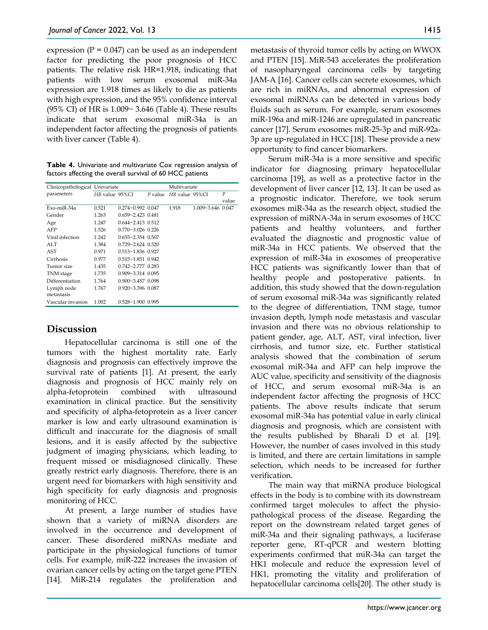expression  $(P = 0.047)$  can be used as an independent factor for predicting the poor prognosis of HCC patients. The relative risk HR=1.918, indicating that patients with low serum exosomal miR-34a expression are 1.918 times as likely to die as patients with high expression, and the 95% confidence interval (95% CI) of HR is 1.009~ 3.646 (Table 4). These results indicate that serum exosomal miR-34a is an independent factor affecting the prognosis of patients with liver cancer (Table 4).

**Table 4.** Univariate and multivariate Cox regression analysis of factors affecting the overall survival of 60 HCC patients

| Clinicopathological Univariate |                |                          |           | Multivariate   |                   |       |
|--------------------------------|----------------|--------------------------|-----------|----------------|-------------------|-------|
| parameters                     | HR value 95%CI |                          | $P$ value | HR value 95%CI |                   | P     |
|                                |                |                          |           |                |                   | value |
| Exo-miR-34a                    | 0.521          | $0.274 - 0.992$ 0.047    |           | 1.918          | 1.009~3.646 0.047 |       |
| Gender                         | 1.263          | $0.659 - 2.423$ $0.481$  |           |                |                   |       |
| Age                            | 1.247          | $0.644 \sim 2.413$ 0.512 |           |                |                   |       |
| AFP                            | 1.526          | $0.770 - 3.026$ 0.226    |           |                |                   |       |
| Viral infection                | 1.242          | $0.655 - 2.354$ $0.507$  |           |                |                   |       |
| ALT.                           | 1.384          | $0.729 - 2.624$ $0.320$  |           |                |                   |       |
| AST                            | 0.971          | $0.513 - 1.836$ 0.927    |           |                |                   |       |
| Cirrhosis                      | 0.977          | $0.515 \sim 1.851$ 0.942 |           |                |                   |       |
| Tumor size                     | 1.435          | $0.742 - 2.777$ $0.283$  |           |                |                   |       |
| TNM stage                      | 1.735          | $0.909 - 3.314$ $0.095$  |           |                |                   |       |
| Differentiation                | 1.764          | $0.900 - 3.457$ 0.098    |           |                |                   |       |
| Lymph node                     | 1.767          | $0.920 - 3.396$ $0.087$  |           |                |                   |       |
| metastasis                     |                |                          |           |                |                   |       |
| Vascular invasion              | 1.002          | $0.528 - 1.900$ 0.995    |           |                |                   |       |

# **Discussion**

Hepatocellular carcinoma is still one of the tumors with the highest mortality rate. Early diagnosis and prognosis can effectively improve the survival rate of patients [1]. At present, the early diagnosis and prognosis of HCC mainly rely on alpha-fetoprotein combined with ultrasound examination in clinical practice. But the sensitivity and specificity of alpha-fetoprotein as a liver cancer marker is low and early ultrasound examination is difficult and inaccurate for the diagnosis of small lesions, and it is easily affected by the subjective judgment of imaging physicians, which leading to frequent missed or misdiagnosed clinically. These greatly restrict early diagnosis. Therefore, there is an urgent need for biomarkers with high sensitivity and high specificity for early diagnosis and prognosis monitoring of HCC.

At present, a large number of studies have shown that a variety of miRNA disorders are involved in the occurrence and development of cancer. These disordered miRNAs mediate and participate in the physiological functions of tumor cells. For example, miR-222 increases the invasion of ovarian cancer cells by acting on the target gene PTEN [14]. MiR-214 regulates the proliferation and

metastasis of thyroid tumor cells by acting on WWOX and PTEN [15]. MiR-543 accelerates the proliferation of nasopharyngeal carcinoma cells by targeting JAM-A [16]. Cancer cells can secrete exosomes, which are rich in miRNAs, and abnormal expression of exosomal miRNAs can be detected in various body fluids such as serum. For example, serum exosomes miR-196a and miR-1246 are upregulated in pancreatic cancer [17]. Serum exosomes miR-25-3p and miR-92a-3p are up-regulated in HCC [18]. These provide a new opportunity to find cancer biomarkers.

Serum miR-34a is a more sensitive and specific indicator for diagnosing primary hepatocellular carcinoma [19], as well as a protective factor in the development of liver cancer [12, 13]. It can be used as a prognostic indicator. Therefore, we took serum exosomes miR-34a as the research object, studied the expression of miRNA-34a in serum exosomes of HCC patients and healthy volunteers, and further evaluated the diagnostic and prognostic value of miR-34a in HCC patients. We observed that the expression of miR-34a in exosomes of preoperative HCC patients was significantly lower than that of healthy people and postoperative patients. In addition, this study showed that the down-regulation of serum exosomal miR-34a was significantly related to the degree of differentiation, TNM stage, tumor invasion depth, lymph node metastasis and vascular invasion and there was no obvious relationship to patient gender, age, ALT, AST, viral infection, liver cirrhosis, and tumor size, etc. Further statistical analysis showed that the combination of serum exosomal miR-34a and AFP can help improve the AUC value, specificity and sensitivity of the diagnosis of HCC, and serum exosomal miR-34a is an independent factor affecting the prognosis of HCC patients. The above results indicate that serum exosomal miR-34a has potential value in early clinical diagnosis and prognosis, which are consistent with the results published by Bharali D et al. [19]. However, the number of cases involved in this study is limited, and there are certain limitations in sample selection, which needs to be increased for further verification.

The main way that miRNA produce biological effects in the body is to combine with its downstream confirmed target molecules to affect the physiopathological process of the disease. Regarding the report on the downstream related target genes of miR-34a and their signaling pathways, a luciferase reporter gene, RT-qPCR and western blotting experiments confirmed that miR-34a can target the HK1 molecule and reduce the expression level of HK1, promoting the vitality and proliferation of hepatocellular carcinoma cells[20]. The other study is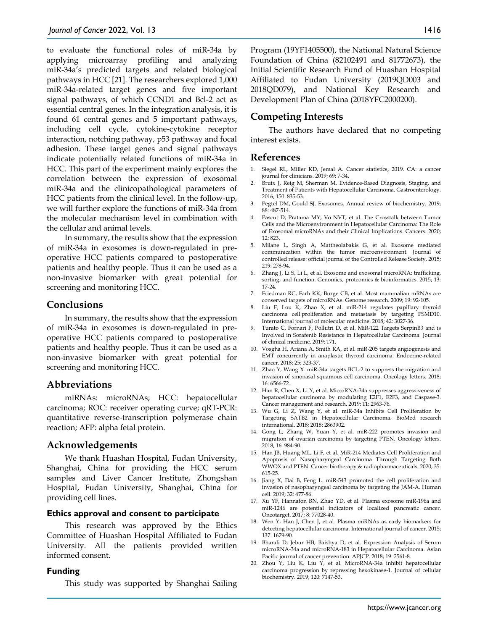to evaluate the functional roles of miR-34a by applying microarray profiling and analyzing miR-34a's predicted targets and related biological pathways in HCC [21]. The researchers explored 1,000 miR-34a-related target genes and five important signal pathways, of which CCND1 and Bcl-2 act as essential central genes. In the integration analysis, it is found 61 central genes and 5 important pathways, including cell cycle, cytokine-cytokine receptor interaction, notching pathway, p53 pathway and focal adhesion. These target genes and signal pathways indicate potentially related functions of miR-34a in HCC. This part of the experiment mainly explores the correlation between the expression of exosomal miR-34a and the clinicopathological parameters of HCC patients from the clinical level. In the follow-up, we will further explore the functions of miR-34a from the molecular mechanism level in combination with the cellular and animal levels.

In summary, the results show that the expression of miR-34a in exosomes is down-regulated in preoperative HCC patients compared to postoperative patients and healthy people. Thus it can be used as a non-invasive biomarker with great potential for screening and monitoring HCC.

## **Conclusions**

In summary, the results show that the expression of miR-34a in exosomes is down-regulated in preoperative HCC patients compared to postoperative patients and healthy people. Thus it can be used as a non-invasive biomarker with great potential for screening and monitoring HCC.

## **Abbreviations**

miRNAs: microRNAs; HCC: hepatocellular carcinoma; ROC: receiver operating curve; qRT-PCR: quantitative reverse-transcription polymerase chain reaction; AFP: alpha fetal protein.

#### **Acknowledgements**

We thank Huashan Hospital, Fudan University, Shanghai, China for providing the HCC serum samples and Liver Cancer Institute, Zhongshan Hospital, Fudan University, Shanghai, China for providing cell lines.

#### **Ethics approval and consent to participate**

This research was approved by the Ethics Committee of Huashan Hospital Affiliated to Fudan University. All the patients provided written informed consent.

#### **Funding**

This study was supported by Shanghai Sailing

Program (19YF1405500), the National Natural Science Foundation of China (82102491 and 81772673), the Initial Scientific Research Fund of Huashan Hospital Affiliated to Fudan University (2019QD003 and 2018QD079), and National Key Research and Development Plan of China (2018YFC2000200).

# **Competing Interests**

The authors have declared that no competing interest exists.

## **References**

- 1. Siegel RL, Miller KD, Jemal A. Cancer statistics, 2019. CA: a cancer journal for clinicians. 2019; 69: 7-34.
- Bruix J, Reig M, Sherman M. Evidence-Based Diagnosis, Staging, and Treatment of Patients with Hepatocellular Carcinoma. Gastroenterology. 2016; 150: 835-53.
- 3. Pegtel DM, Gould SJ. Exosomes. Annual review of biochemistry. 2019; 88: 487-514.
- 4. Pascut D, Pratama MY, Vo NVT, et al. The Crosstalk between Tumor Cells and the Microenvironment in Hepatocellular Carcinoma: The Role of Exosomal microRNAs and their Clinical Implications. Cancers. 2020;  $12.823$
- 5. Milane L, Singh A, Mattheolabakis G, et al. Exosome mediated communication within the tumor microenvironment. Journal of controlled release: official journal of the Controlled Release Society. 2015; 219: 278-94.
- 6. Zhang J, Li S, Li L, et al. Exosome and exosomal microRNA: trafficking, sorting, and function. Genomics, proteomics & bioinformatics. 2015; 13: 17-24.
- 7. Friedman RC, Farh KK, Burge CB, et al. Most mammalian mRNAs are conserved targets of microRNAs. Genome research. 2009; 19: 92-105.
- 8. Liu F, Lou K, Zhao X, et al. miR-214 regulates papillary thyroid carcinoma cell proliferation and metastasis by targeting PSMD10. International journal of molecular medicine. 2018; 42: 3027-36.
- 9. Turato C, Fornari F, Pollutri D, et al. MiR-122 Targets SerpinB3 and is Involved in Sorafenib Resistance in Hepatocellular Carcinoma. Journal of clinical medicine. 2019: 171.
- 10. Vosgha H, Ariana A, Smith RA, et al. miR-205 targets angiogenesis and EMT concurrently in anaplastic thyroid carcinoma. Endocrine-related cancer. 2018; 25: 323-37.
- 11. Zhao Y, Wang X. miR-34a targets BCL-2 to suppress the migration and invasion of sinonasal squamous cell carcinoma. Oncology letters. 2018; 16: 6566-72.
- 12. Han R, Chen X, Li Y, et al. MicroRNA-34a suppresses aggressiveness of hepatocellular carcinoma by modulating E2F1, E2F3, and Caspase-3. Cancer management and research. 2019; 11: 2963-76.
- 13. Wu G, Li Z, Wang Y, et al. miR-34a Inhibits Cell Proliferation by Targeting SATB2 in Hepatocellular Carcinoma. BioMed research international. 2018; 2018: 2863902.
- 14. Gong L, Zhang W, Yuan Y, et al. miR-222 promotes invasion and migration of ovarian carcinoma by targeting PTEN. Oncology letters. 2018; 16: 984-90.
- 15. Han JB, Huang ML, Li F, et al. MiR-214 Mediates Cell Proliferation and Apoptosis of Nasopharyngeal Carcinoma Through Targeting Both WWOX and PTEN. Cancer biotherapy & radiopharmaceuticals. 2020; 35: 615-25.
- 16. Jiang X, Dai B, Feng L. miR-543 promoted the cell proliferation and invasion of nasopharyngeal carcinoma by targeting the JAM-A. Human cell. 2019; 32: 477-86.
- 17. Xu YF, Hannafon BN, Zhao YD, et al. Plasma exosome miR-196a and miR-1246 are potential indicators of localized pancreatic cancer. Oncotarget. 2017; 8: 77028-40.
- 18. Wen Y, Han J, Chen J, et al. Plasma miRNAs as early biomarkers for detecting hepatocellular carcinoma. International journal of cancer. 2015; 137: 1679-90.
- 19. Bharali D, Jebur HB, Baishya D, et al. Expression Analysis of Serum microRNA-34a and microRNA-183 in Hepatocellular Carcinoma. Asian Pacific journal of cancer prevention: APJCP. 2018; 19: 2561-8.
- 20. Zhou Y, Liu K, Liu Y, et al. MicroRNA-34a inhibit hepatocellular carcinoma progression by repressing hexokinase-1. Journal of cellular biochemistry. 2019; 120: 7147-53.